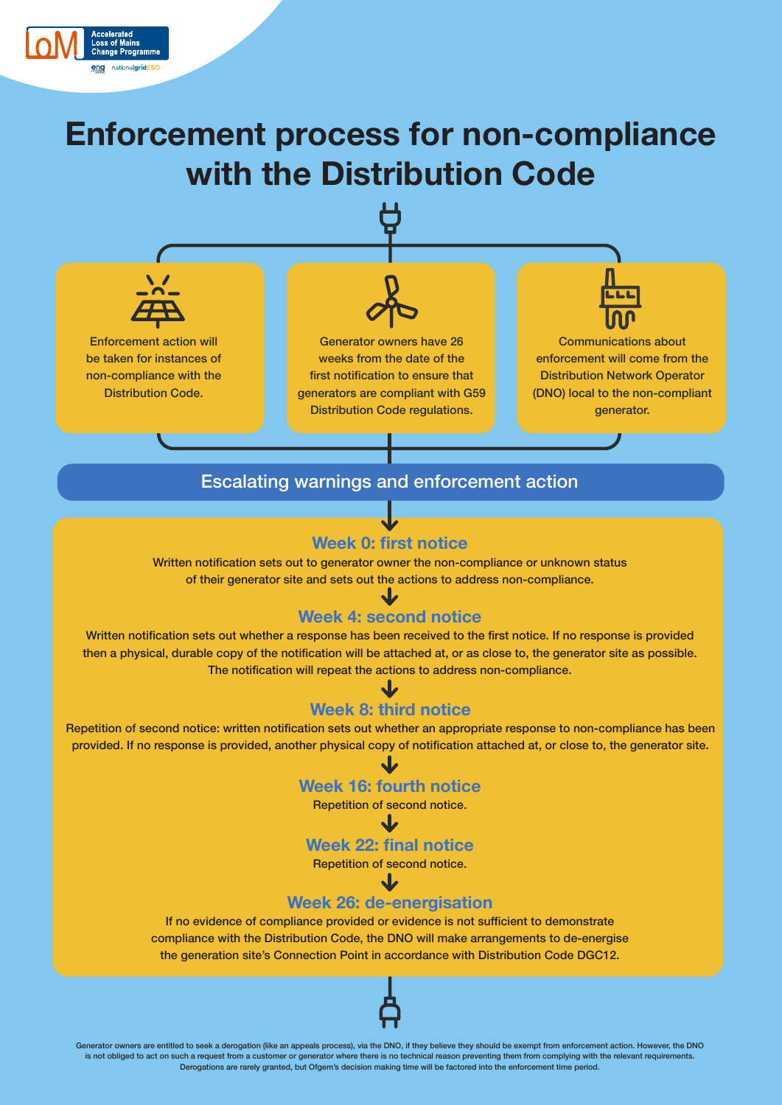

# **Enforcement process for non-compliance with the Distribution Code**



### Escalating warnings and enforcement action

# **Week 0: first notice**

Written notification sets out to generator owner the non-compliance or unknown status of their generator site and sets out the actions to address non-compliance.

## **Week 4: second notice**

Written notification sets out whether a response has been received to the first notice. If no response is provided then a physical, durable copy of the notification will be attached at, or as close to, the generator site as possible. The notification will repeat the actions to address non-compliance.

# **Week 8: third notice**

Repetition of second notice: written notification sets out whether an appropriate response to non-compliance has been provided. If no response is provided, another physical copy of notification attached at, or close to, the generator site.

# **Week 16: fourth notice**

Repetition of second notice.

**Week 22: final notice** 

Repetition of second notice.

# **Week 26: de-energisation**

If no evidence of compliance provided or evidence is not sufficient to demonstrate compliance with the Distribution Code, the DNO will make arrangements to de-energise the generation site's Connection Point in accordance with Distribution Code DGC12.



Generator owners are entitled to seek a derogation (like an appeals process), via the DNO, if they believe they should be exempt from enforcement action. However, the DNO is not obliged to act on such a request from a customer or generator where there is no technical reason preventing them from complying with the relevant requirements. Derogations are rarely granted, but Ofgem's decision making time will be factored into the enforcement time period.